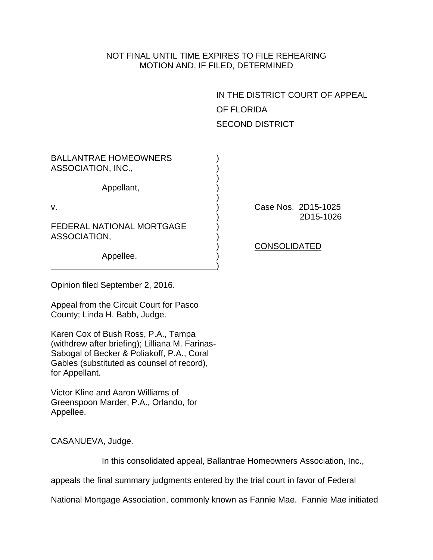## NOT FINAL UNTIL TIME EXPIRES TO FILE REHEARING MOTION AND, IF FILED, DETERMINED

IN THE DISTRICT COURT OF APPEAL OF FLORIDA SECOND DISTRICT

| <b>BALLANTRAE HOMEOWNERS</b><br>ASSOCIATION, INC., |                                  |
|----------------------------------------------------|----------------------------------|
| Appellant,                                         |                                  |
| v.                                                 | Case Nos. 2D15-1025<br>2D15-1026 |
| <b>FEDERAL NATIONAL MORTGAGE</b><br>ASSOCIATION,   |                                  |
| Appellee.                                          | <b>CONSOLIDATED</b>              |
|                                                    |                                  |

Opinion filed September 2, 2016.

Appeal from the Circuit Court for Pasco County; Linda H. Babb, Judge.

Karen Cox of Bush Ross, P.A., Tampa (withdrew after briefing); Lilliana M. Farinas-Sabogal of Becker & Poliakoff, P.A., Coral Gables (substituted as counsel of record), for Appellant.

Victor Kline and Aaron Williams of Greenspoon Marder, P.A., Orlando, for Appellee.

CASANUEVA, Judge.

In this consolidated appeal, Ballantrae Homeowners Association, Inc.,

appeals the final summary judgments entered by the trial court in favor of Federal

National Mortgage Association, commonly known as Fannie Mae. Fannie Mae initiated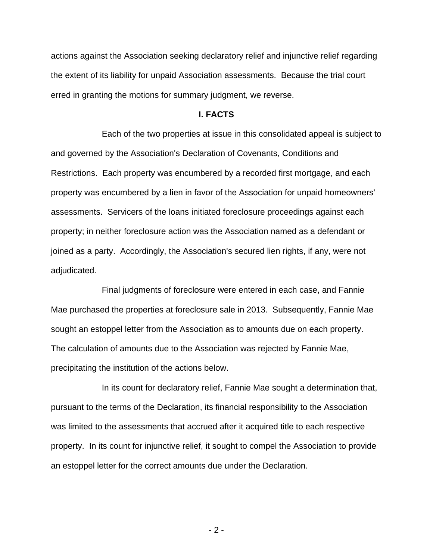actions against the Association seeking declaratory relief and injunctive relief regarding the extent of its liability for unpaid Association assessments. Because the trial court erred in granting the motions for summary judgment, we reverse.

## **I. FACTS**

Each of the two properties at issue in this consolidated appeal is subject to and governed by the Association's Declaration of Covenants, Conditions and Restrictions. Each property was encumbered by a recorded first mortgage, and each property was encumbered by a lien in favor of the Association for unpaid homeowners' assessments. Servicers of the loans initiated foreclosure proceedings against each property; in neither foreclosure action was the Association named as a defendant or joined as a party. Accordingly, the Association's secured lien rights, if any, were not adjudicated.

Final judgments of foreclosure were entered in each case, and Fannie Mae purchased the properties at foreclosure sale in 2013. Subsequently, Fannie Mae sought an estoppel letter from the Association as to amounts due on each property. The calculation of amounts due to the Association was rejected by Fannie Mae, precipitating the institution of the actions below.

In its count for declaratory relief, Fannie Mae sought a determination that, pursuant to the terms of the Declaration, its financial responsibility to the Association was limited to the assessments that accrued after it acquired title to each respective property. In its count for injunctive relief, it sought to compel the Association to provide an estoppel letter for the correct amounts due under the Declaration.

- 2 -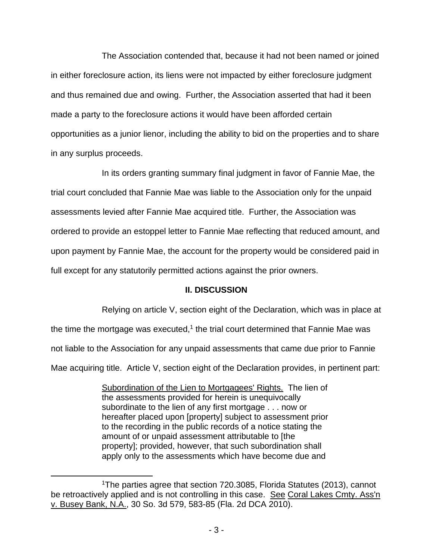The Association contended that, because it had not been named or joined in either foreclosure action, its liens were not impacted by either foreclosure judgment and thus remained due and owing. Further, the Association asserted that had it been made a party to the foreclosure actions it would have been afforded certain opportunities as a junior lienor, including the ability to bid on the properties and to share in any surplus proceeds.

In its orders granting summary final judgment in favor of Fannie Mae, the trial court concluded that Fannie Mae was liable to the Association only for the unpaid assessments levied after Fannie Mae acquired title. Further, the Association was ordered to provide an estoppel letter to Fannie Mae reflecting that reduced amount, and upon payment by Fannie Mae, the account for the property would be considered paid in full except for any statutorily permitted actions against the prior owners.

## **II. DISCUSSION**

Relying on article V, section eight of the Declaration, which was in place at the time the mortgage was executed,<sup>1</sup> the trial court determined that Fannie Mae was

not liable to the Association for any unpaid assessments that came due prior to Fannie

Mae acquiring title. Article V, section eight of the Declaration provides, in pertinent part:

Subordination of the Lien to Mortgagees' Rights. The lien of the assessments provided for herein is unequivocally subordinate to the lien of any first mortgage . . . now or hereafter placed upon [property] subject to assessment prior to the recording in the public records of a notice stating the amount of or unpaid assessment attributable to [the property]; provided, however, that such subordination shall apply only to the assessments which have become due and

 $\overline{a}$ 

<sup>1</sup>The parties agree that section 720.3085, Florida Statutes (2013), cannot be retroactively applied and is not controlling in this case. See Coral Lakes Cmty. Ass'n v. Busey Bank, N.A., 30 So. 3d 579, 583-85 (Fla. 2d DCA 2010).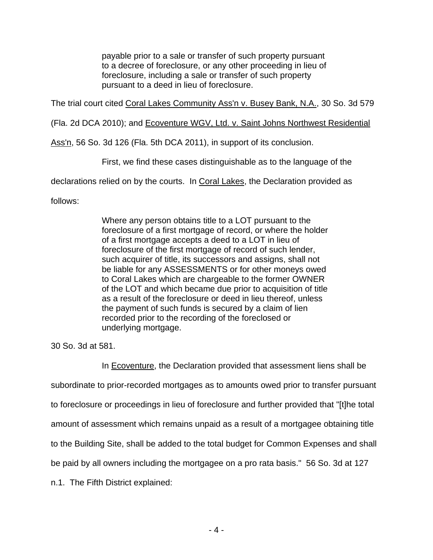payable prior to a sale or transfer of such property pursuant to a decree of foreclosure, or any other proceeding in lieu of foreclosure, including a sale or transfer of such property pursuant to a deed in lieu of foreclosure.

The trial court cited Coral Lakes Community Ass'n v. Busey Bank, N.A., 30 So. 3d 579

(Fla. 2d DCA 2010); and Ecoventure WGV, Ltd. v. Saint Johns Northwest Residential

Ass'n, 56 So. 3d 126 (Fla. 5th DCA 2011), in support of its conclusion.

First, we find these cases distinguishable as to the language of the

declarations relied on by the courts. In Coral Lakes, the Declaration provided as

follows:

Where any person obtains title to a LOT pursuant to the foreclosure of a first mortgage of record, or where the holder of a first mortgage accepts a deed to a LOT in lieu of foreclosure of the first mortgage of record of such lender, such acquirer of title, its successors and assigns, shall not be liable for any ASSESSMENTS or for other moneys owed to Coral Lakes which are chargeable to the former OWNER of the LOT and which became due prior to acquisition of title as a result of the foreclosure or deed in lieu thereof, unless the payment of such funds is secured by a claim of lien recorded prior to the recording of the foreclosed or underlying mortgage.

30 So. 3d at 581.

In Ecoventure, the Declaration provided that assessment liens shall be subordinate to prior-recorded mortgages as to amounts owed prior to transfer pursuant to foreclosure or proceedings in lieu of foreclosure and further provided that "[t]he total amount of assessment which remains unpaid as a result of a mortgagee obtaining title to the Building Site, shall be added to the total budget for Common Expenses and shall be paid by all owners including the mortgagee on a pro rata basis." 56 So. 3d at 127 n.1. The Fifth District explained: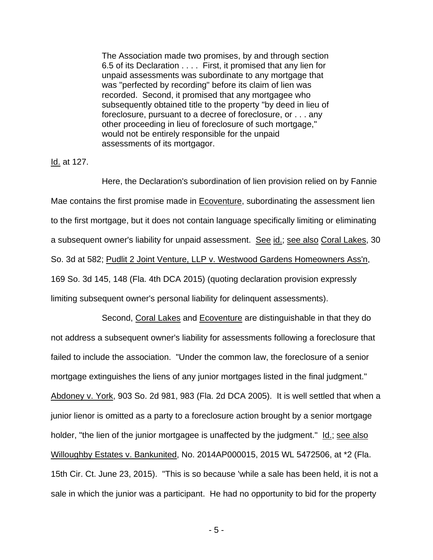The Association made two promises, by and through section 6.5 of its Declaration . . . . First, it promised that any lien for unpaid assessments was subordinate to any mortgage that was "perfected by recording" before its claim of lien was recorded. Second, it promised that any mortgagee who subsequently obtained title to the property "by deed in lieu of foreclosure, pursuant to a decree of foreclosure, or . . . any other proceeding in lieu of foreclosure of such mortgage," would not be entirely responsible for the unpaid assessments of its mortgagor.

Id. at 127.

Here, the Declaration's subordination of lien provision relied on by Fannie Mae contains the first promise made in Ecoventure, subordinating the assessment lien to the first mortgage, but it does not contain language specifically limiting or eliminating a subsequent owner's liability for unpaid assessment. See id.; see also Coral Lakes, 30 So. 3d at 582; Pudlit 2 Joint Venture, LLP v. Westwood Gardens Homeowners Ass'n, 169 So. 3d 145, 148 (Fla. 4th DCA 2015) (quoting declaration provision expressly limiting subsequent owner's personal liability for delinquent assessments).

Second, Coral Lakes and Ecoventure are distinguishable in that they do not address a subsequent owner's liability for assessments following a foreclosure that failed to include the association. "Under the common law, the foreclosure of a senior mortgage extinguishes the liens of any junior mortgages listed in the final judgment." Abdoney v. York, 903 So. 2d 981, 983 (Fla. 2d DCA 2005). It is well settled that when a junior lienor is omitted as a party to a foreclosure action brought by a senior mortgage holder, "the lien of the junior mortgagee is unaffected by the judgment." Id.; see also Willoughby Estates v. Bankunited, No. 2014AP000015, 2015 WL 5472506, at \*2 (Fla. 15th Cir. Ct. June 23, 2015). "This is so because 'while a sale has been held, it is not a sale in which the junior was a participant. He had no opportunity to bid for the property

- 5 -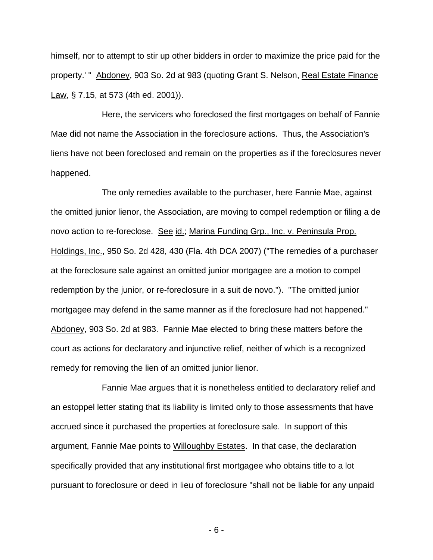himself, nor to attempt to stir up other bidders in order to maximize the price paid for the property.' " Abdoney, 903 So. 2d at 983 (quoting Grant S. Nelson, Real Estate Finance Law, § 7.15, at 573 (4th ed. 2001)).

Here, the servicers who foreclosed the first mortgages on behalf of Fannie Mae did not name the Association in the foreclosure actions. Thus, the Association's liens have not been foreclosed and remain on the properties as if the foreclosures never happened.

The only remedies available to the purchaser, here Fannie Mae, against the omitted junior lienor, the Association, are moving to compel redemption or filing a de novo action to re-foreclose. See id.; Marina Funding Grp., Inc. v. Peninsula Prop. Holdings, Inc., 950 So. 2d 428, 430 (Fla. 4th DCA 2007) ("The remedies of a purchaser at the foreclosure sale against an omitted junior mortgagee are a motion to compel redemption by the junior, or re-foreclosure in a suit de novo."). "The omitted junior mortgagee may defend in the same manner as if the foreclosure had not happened." Abdoney, 903 So. 2d at 983. Fannie Mae elected to bring these matters before the court as actions for declaratory and injunctive relief, neither of which is a recognized remedy for removing the lien of an omitted junior lienor.

Fannie Mae argues that it is nonetheless entitled to declaratory relief and an estoppel letter stating that its liability is limited only to those assessments that have accrued since it purchased the properties at foreclosure sale. In support of this argument, Fannie Mae points to Willoughby Estates. In that case, the declaration specifically provided that any institutional first mortgagee who obtains title to a lot pursuant to foreclosure or deed in lieu of foreclosure "shall not be liable for any unpaid

- 6 -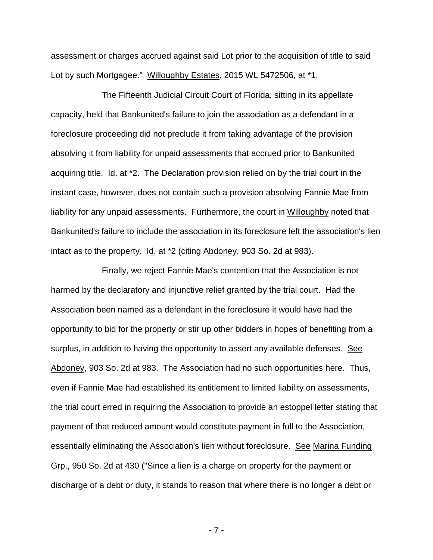assessment or charges accrued against said Lot prior to the acquisition of title to said Lot by such Mortgagee." Willoughby Estates, 2015 WL 5472506, at \*1.

The Fifteenth Judicial Circuit Court of Florida, sitting in its appellate capacity, held that Bankunited's failure to join the association as a defendant in a foreclosure proceeding did not preclude it from taking advantage of the provision absolving it from liability for unpaid assessments that accrued prior to Bankunited acquiring title. Id. at \*2. The Declaration provision relied on by the trial court in the instant case, however, does not contain such a provision absolving Fannie Mae from liability for any unpaid assessments. Furthermore, the court in Willoughby noted that Bankunited's failure to include the association in its foreclosure left the association's lien intact as to the property. Id. at \*2 (citing Abdoney, 903 So. 2d at 983).

Finally, we reject Fannie Mae's contention that the Association is not harmed by the declaratory and injunctive relief granted by the trial court. Had the Association been named as a defendant in the foreclosure it would have had the opportunity to bid for the property or stir up other bidders in hopes of benefiting from a surplus, in addition to having the opportunity to assert any available defenses. See Abdoney, 903 So. 2d at 983. The Association had no such opportunities here. Thus, even if Fannie Mae had established its entitlement to limited liability on assessments, the trial court erred in requiring the Association to provide an estoppel letter stating that payment of that reduced amount would constitute payment in full to the Association, essentially eliminating the Association's lien without foreclosure. See Marina Funding Grp., 950 So. 2d at 430 ("Since a lien is a charge on property for the payment or discharge of a debt or duty, it stands to reason that where there is no longer a debt or

- 7 -